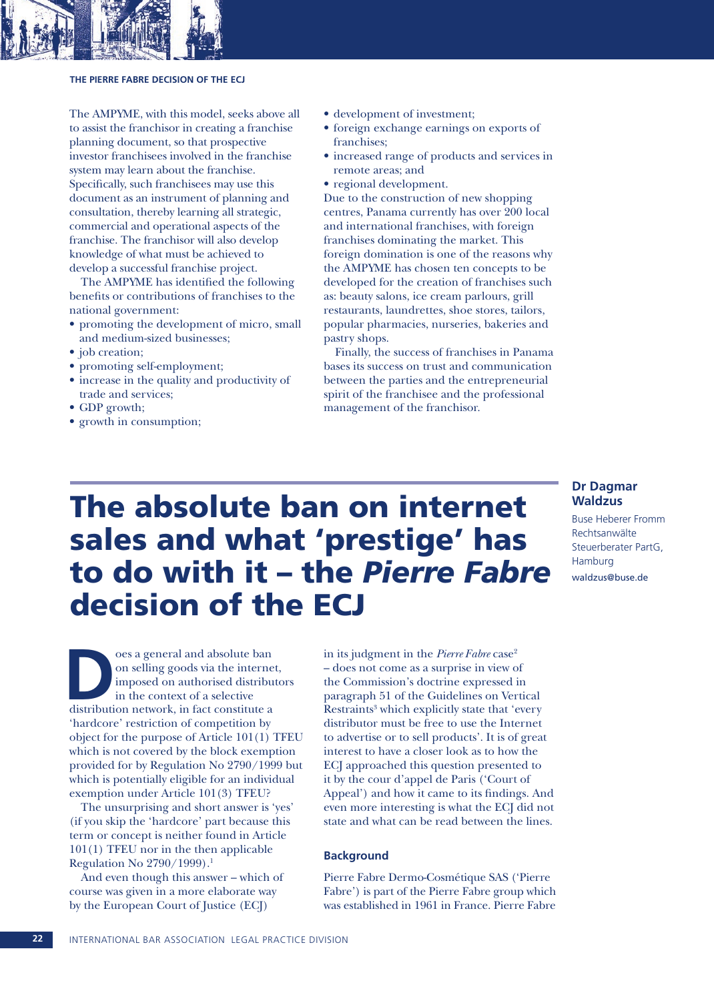

#### **THE PIERRE FABRE DECISION OF THE ECJ**

The AMPYME, with this model, seeks above all to assist the franchisor in creating a franchise planning document, so that prospective investor franchisees involved in the franchise system may learn about the franchise. Specifically, such franchisees may use this document as an instrument of planning and consultation, thereby learning all strategic, commercial and operational aspects of the franchise. The franchisor will also develop knowledge of what must be achieved to develop a successful franchise project.

The AMPYME has identified the following benefits or contributions of franchises to the national government:

- promoting the development of micro, small and medium-sized businesses;
- job creation;
- promoting self-employment;
- increase in the quality and productivity of trade and services;
- GDP growth;
- growth in consumption;
- development of investment;
- foreign exchange earnings on exports of franchises;
- increased range of products and services in remote areas; and
- regional development.

Due to the construction of new shopping centres, Panama currently has over 200 local and international franchises, with foreign franchises dominating the market. This foreign domination is one of the reasons why the AMPYME has chosen ten concepts to be developed for the creation of franchises such as: beauty salons, ice cream parlours, grill restaurants, laundrettes, shoe stores, tailors, popular pharmacies, nurseries, bakeries and pastry shops.

Finally, the success of franchises in Panama bases its success on trust and communication between the parties and the entrepreneurial spirit of the franchisee and the professional management of the franchisor.

> **Dr Dagmar Waldzus**

Hamburg waldzus@buse.de

Buse Heberer Fromm Rechtsanwälte Steuerberater PartG,

# The absolute ban on internet sales and what 'prestige' has to do with it – the *Pierre Fabre* decision of the ECJ

or a general and absolute ban<br>
on selling goods via the interne<br>
imposed on authorised distribution<br>
in the context of a selective<br>
distribution network, in fact constitute a oes a general and absolute ban on selling goods via the internet, imposed on authorised distributors in the context of a selective 'hardcore' restriction of competition by object for the purpose of Article 101(1) TFEU which is not covered by the block exemption provided for by Regulation No 2790/1999 but which is potentially eligible for an individual exemption under Article 101(3) TFEU?

The unsurprising and short answer is 'yes' (if you skip the 'hardcore' part because this term or concept is neither found in Article 101(1) TFEU nor in the then applicable Regulation No 2790/1999).<sup>1</sup>

And even though this answer – which of course was given in a more elaborate way by the European Court of Justice (ECJ)

in its judgment in the *Pierre Fabre* case<sup>2</sup> – does not come as a surprise in view of the Commission's doctrine expressed in paragraph 51 of the Guidelines on Vertical Restraints<sup>3</sup> which explicitly state that 'every distributor must be free to use the Internet to advertise or to sell products'. It is of great interest to have a closer look as to how the ECJ approached this question presented to it by the cour d'appel de Paris ('Court of Appeal') and how it came to its findings. And even more interesting is what the ECJ did not state and what can be read between the lines.

#### **Background**

Pierre Fabre Dermo-Cosmétique SAS ('Pierre Fabre') is part of the Pierre Fabre group which was established in 1961 in France. Pierre Fabre

#### **22** INTERNATIONAL BAR ASSOCIATION LEGAL PRACTICE DIVISION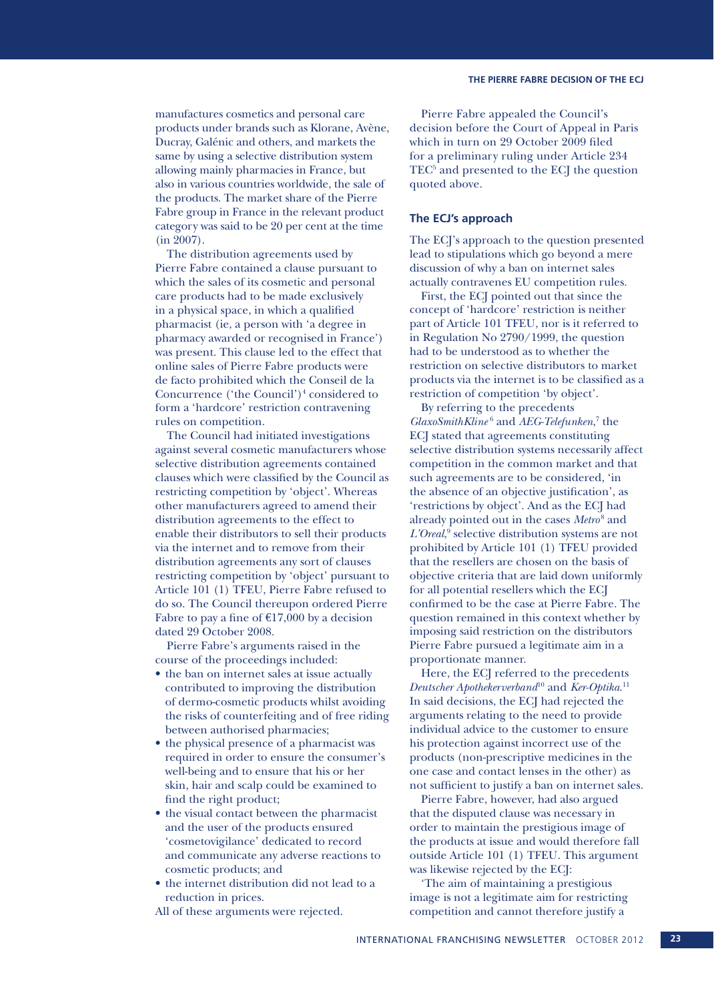also in various countries worldwide, the sale of the products. The market share of the Pierre Fabre group in France in the relevant product category was said to be 20 per cent at the time (in 2007).

The distribution agreements used by Pierre Fabre contained a clause pursuant to which the sales of its cosmetic and personal care products had to be made exclusively in a physical space, in which a qualified pharmacist (ie, a person with 'a degree in pharmacy awarded or recognised in France') was present. This clause led to the effect that online sales of Pierre Fabre products were de facto prohibited which the Conseil de la Concurrence ('the Council') $4$  considered to form a 'hardcore' restriction contravening rules on competition.

The Council had initiated investigations against several cosmetic manufacturers whose selective distribution agreements contained clauses which were classified by the Council as restricting competition by 'object'. Whereas other manufacturers agreed to amend their distribution agreements to the effect to enable their distributors to sell their products via the internet and to remove from their distribution agreements any sort of clauses restricting competition by 'object' pursuant to Article 101 (1) TFEU, Pierre Fabre refused to do so. The Council thereupon ordered Pierre Fabre to pay a fine of  $£17,000$  by a decision dated 29 October 2008.

Pierre Fabre's arguments raised in the course of the proceedings included:

- the ban on internet sales at issue actually contributed to improving the distribution of dermo-cosmetic products whilst avoiding the risks of counterfeiting and of free riding between authorised pharmacies;
- the physical presence of a pharmacist was required in order to ensure the consumer's well-being and to ensure that his or her skin, hair and scalp could be examined to find the right product;
- the visual contact between the pharmacist and the user of the products ensured 'cosmetovigilance' dedicated to record and communicate any adverse reactions to cosmetic products; and
- the internet distribution did not lead to a reduction in prices.
- All of these arguments were rejected.

Pierre Fabre appealed the Council's decision before the Court of Appeal in Paris which in turn on 29 October 2009 filed for a preliminary ruling under Article 234 TEC<sup>5</sup> and presented to the ECJ the question quoted above.

#### **The ECJ's approach**

The ECJ's approach to the question presented lead to stipulations which go beyond a mere discussion of why a ban on internet sales actually contravenes EU competition rules.

First, the ECJ pointed out that since the concept of 'hardcore' restriction is neither part of Article 101 TFEU, nor is it referred to in Regulation No 2790/1999, the question had to be understood as to whether the restriction on selective distributors to market products via the internet is to be classified as a restriction of competition 'by object'.

By referring to the precedents GlaxoSmithKline<sup>6</sup> and *AEG-Telefunken*,<sup>7</sup> the ECJ stated that agreements constituting selective distribution systems necessarily affect competition in the common market and that such agreements are to be considered, 'in the absence of an objective justification', as 'restrictions by object'. And as the ECJ had already pointed out in the cases Metro<sup>8</sup> and *L'Oreal*, 9 selective distribution systems are not prohibited by Article 101 (1) TFEU provided that the resellers are chosen on the basis of objective criteria that are laid down uniformly for all potential resellers which the ECJ confirmed to be the case at Pierre Fabre. The question remained in this context whether by imposing said restriction on the distributors Pierre Fabre pursued a legitimate aim in a proportionate manner.

Here, the ECJ referred to the precedents *Deutscher Apothekerverband*<sup>10</sup> and *Ker-Optika*. 11 In said decisions, the ECJ had rejected the arguments relating to the need to provide individual advice to the customer to ensure his protection against incorrect use of the products (non-prescriptive medicines in the one case and contact lenses in the other) as not sufficient to justify a ban on internet sales.

Pierre Fabre, however, had also argued that the disputed clause was necessary in order to maintain the prestigious image of the products at issue and would therefore fall outside Article 101 (1) TFEU. This argument was likewise rejected by the ECJ:

'The aim of maintaining a prestigious image is not a legitimate aim for restricting competition and cannot therefore justify a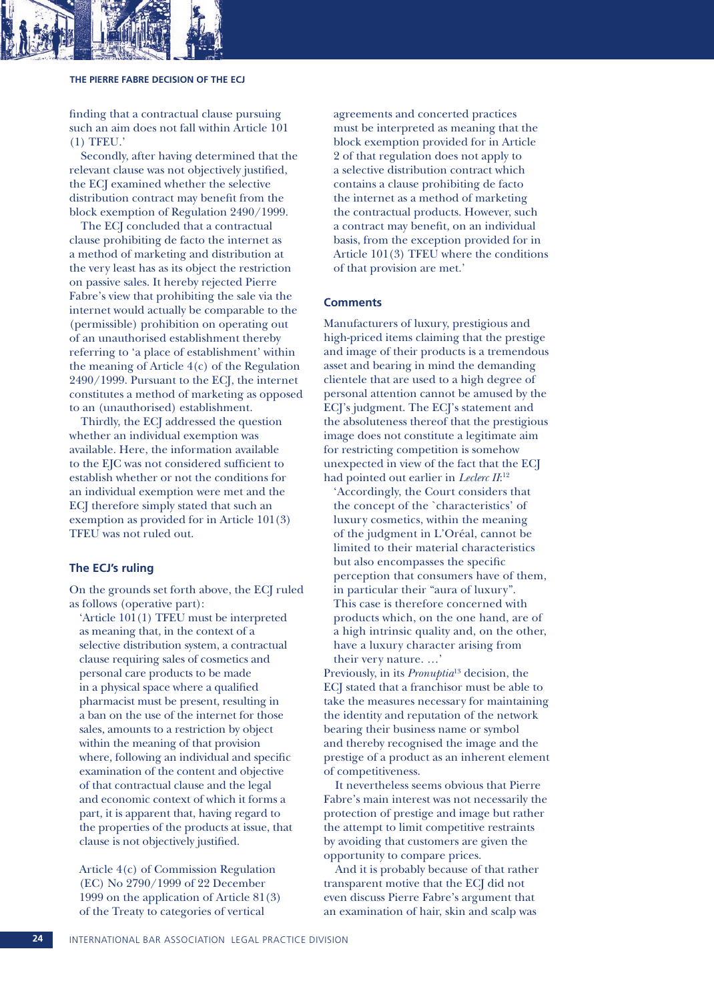

#### **THE PIERRE FABRE DECISION OF THE ECJ**

finding that a contractual clause pursuing such an aim does not fall within Article 101 (1) TFEU.'

Secondly, after having determined that the relevant clause was not objectively justified, the ECJ examined whether the selective distribution contract may benefit from the block exemption of Regulation 2490/1999.

The ECJ concluded that a contractual clause prohibiting de facto the internet as a method of marketing and distribution at the very least has as its object the restriction on passive sales. It hereby rejected Pierre Fabre's view that prohibiting the sale via the internet would actually be comparable to the (permissible) prohibition on operating out of an unauthorised establishment thereby referring to 'a place of establishment' within the meaning of Article 4(c) of the Regulation 2490/1999. Pursuant to the ECJ, the internet constitutes a method of marketing as opposed to an (unauthorised) establishment.

Thirdly, the ECJ addressed the question whether an individual exemption was available. Here, the information available to the EJC was not considered sufficient to establish whether or not the conditions for an individual exemption were met and the ECJ therefore simply stated that such an exemption as provided for in Article 101(3) TFEU was not ruled out.

#### **The ECJ's ruling**

On the grounds set forth above, the ECJ ruled as follows (operative part):

'Article 101(1) TFEU must be interpreted as meaning that, in the context of a selective distribution system, a contractual clause requiring sales of cosmetics and personal care products to be made in a physical space where a qualified pharmacist must be present, resulting in a ban on the use of the internet for those sales, amounts to a restriction by object within the meaning of that provision where, following an individual and specific examination of the content and objective of that contractual clause and the legal and economic context of which it forms a part, it is apparent that, having regard to the properties of the products at issue, that clause is not objectively justified.

Article 4(c) of Commission Regulation (EC) No 2790/1999 of 22 December 1999 on the application of Article 81(3) of the Treaty to categories of vertical

agreements and concerted practices must be interpreted as meaning that the block exemption provided for in Article 2 of that regulation does not apply to a selective distribution contract which contains a clause prohibiting de facto the internet as a method of marketing the contractual products. However, such a contract may benefit, on an individual basis, from the exception provided for in Article 101(3) TFEU where the conditions of that provision are met.'

#### **Comments**

Manufacturers of luxury, prestigious and high-priced items claiming that the prestige and image of their products is a tremendous asset and bearing in mind the demanding clientele that are used to a high degree of personal attention cannot be amused by the ECJ's judgment. The ECJ's statement and the absoluteness thereof that the prestigious image does not constitute a legitimate aim for restricting competition is somehow unexpected in view of the fact that the ECJ had pointed out earlier in *Leclerc II*:<sup>12</sup>

'Accordingly, the Court considers that the concept of the `characteristics' of luxury cosmetics, within the meaning of the judgment in L'Oréal, cannot be limited to their material characteristics but also encompasses the specific perception that consumers have of them, in particular their "aura of luxury". This case is therefore concerned with products which, on the one hand, are of a high intrinsic quality and, on the other, have a luxury character arising from their very nature. …'

Previously, in its *Pronuptia*<sup>13</sup> decision, the ECJ stated that a franchisor must be able to take the measures necessary for maintaining the identity and reputation of the network bearing their business name or symbol and thereby recognised the image and the prestige of a product as an inherent element of competitiveness.

It nevertheless seems obvious that Pierre Fabre's main interest was not necessarily the protection of prestige and image but rather the attempt to limit competitive restraints by avoiding that customers are given the opportunity to compare prices.

And it is probably because of that rather transparent motive that the ECJ did not even discuss Pierre Fabre's argument that an examination of hair, skin and scalp was